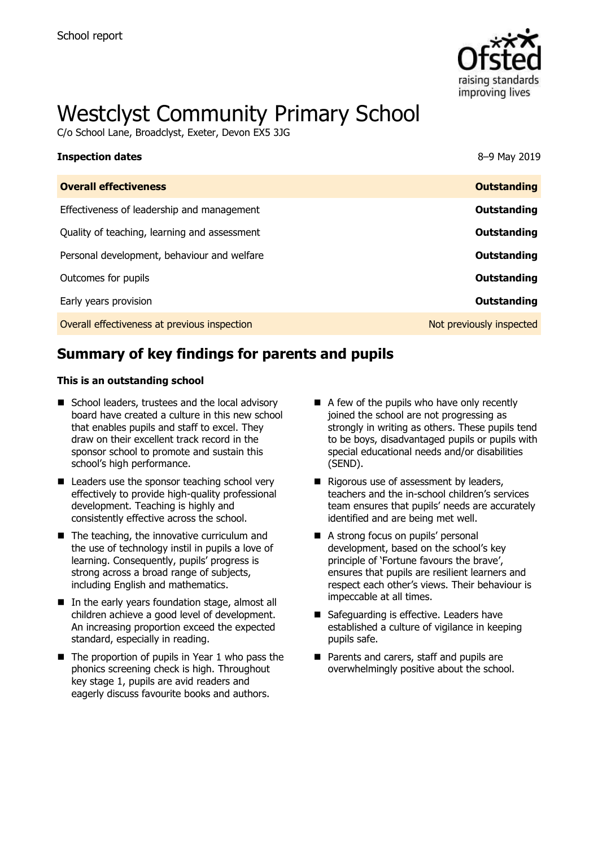

# Westclyst Community Primary School

C/o School Lane, Broadclyst, Exeter, Devon EX5 3JG

| <b>Inspection dates</b>                      | 8-9 May 2019             |
|----------------------------------------------|--------------------------|
| <b>Overall effectiveness</b>                 | <b>Outstanding</b>       |
| Effectiveness of leadership and management   | Outstanding              |
| Quality of teaching, learning and assessment | Outstanding              |
| Personal development, behaviour and welfare  | Outstanding              |
| Outcomes for pupils                          | Outstanding              |
| Early years provision                        | Outstanding              |
| Overall effectiveness at previous inspection | Not previously inspected |

# **Summary of key findings for parents and pupils**

#### **This is an outstanding school**

- School leaders, trustees and the local advisory board have created a culture in this new school that enables pupils and staff to excel. They draw on their excellent track record in the sponsor school to promote and sustain this school's high performance.
- $\blacksquare$  Leaders use the sponsor teaching school very effectively to provide high-quality professional development. Teaching is highly and consistently effective across the school.
- $\blacksquare$  The teaching, the innovative curriculum and the use of technology instil in pupils a love of learning. Consequently, pupils' progress is strong across a broad range of subjects, including English and mathematics.
- In the early years foundation stage, almost all children achieve a good level of development. An increasing proportion exceed the expected standard, especially in reading.
- $\blacksquare$  The proportion of pupils in Year 1 who pass the phonics screening check is high. Throughout key stage 1, pupils are avid readers and eagerly discuss favourite books and authors.
- $\blacksquare$  A few of the pupils who have only recently joined the school are not progressing as strongly in writing as others. These pupils tend to be boys, disadvantaged pupils or pupils with special educational needs and/or disabilities (SEND).
- Rigorous use of assessment by leaders, teachers and the in-school children's services team ensures that pupils' needs are accurately identified and are being met well.
- A strong focus on pupils' personal development, based on the school's key principle of 'Fortune favours the brave', ensures that pupils are resilient learners and respect each other's views. Their behaviour is impeccable at all times.
- Safeguarding is effective. Leaders have established a culture of vigilance in keeping pupils safe.
- **Parents and carers, staff and pupils are** overwhelmingly positive about the school.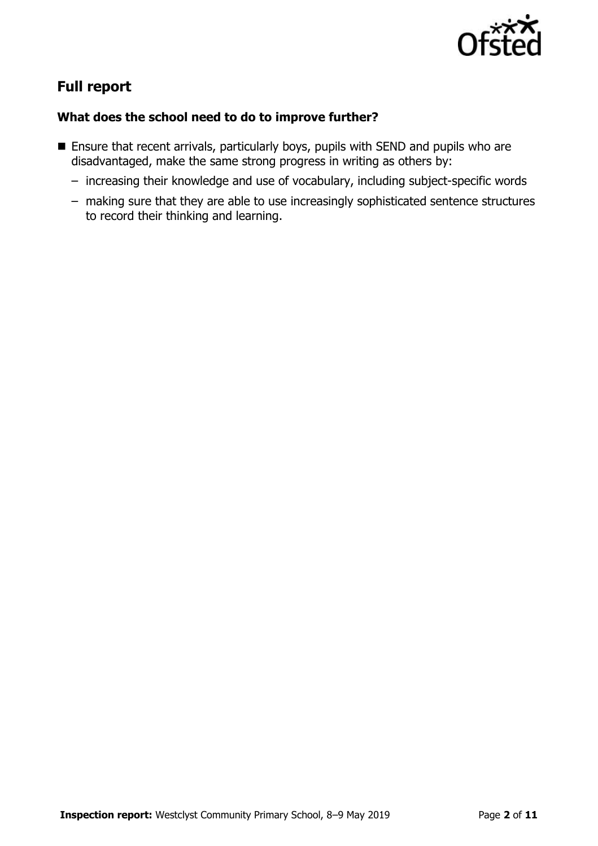

# **Full report**

### **What does the school need to do to improve further?**

- **Ensure that recent arrivals, particularly boys, pupils with SEND and pupils who are** disadvantaged, make the same strong progress in writing as others by:
	- increasing their knowledge and use of vocabulary, including subject-specific words
	- making sure that they are able to use increasingly sophisticated sentence structures to record their thinking and learning.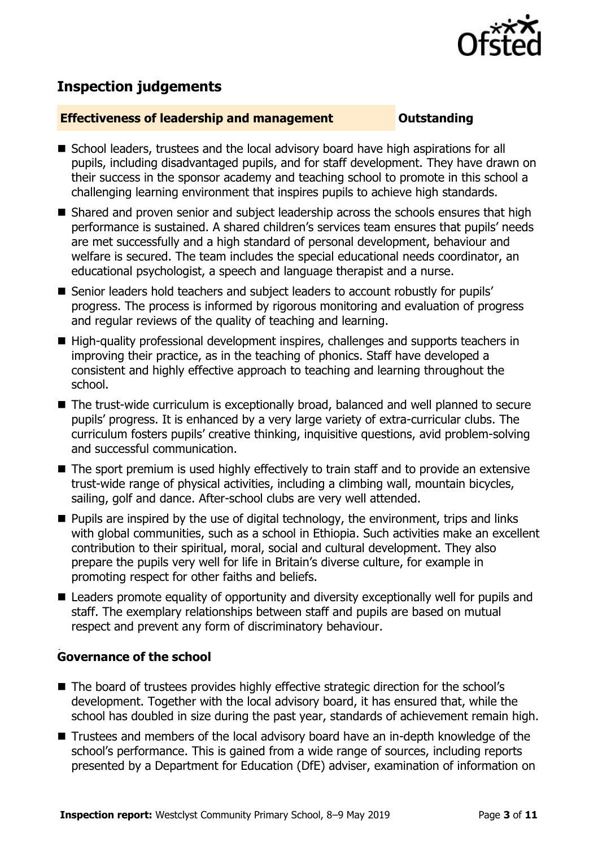

# **Inspection judgements**

#### **Effectiveness of leadership and management Constanding**

- School leaders, trustees and the local advisory board have high aspirations for all pupils, including disadvantaged pupils, and for staff development. They have drawn on their success in the sponsor academy and teaching school to promote in this school a challenging learning environment that inspires pupils to achieve high standards.
- Shared and proven senior and subject leadership across the schools ensures that high performance is sustained. A shared children's services team ensures that pupils' needs are met successfully and a high standard of personal development, behaviour and welfare is secured. The team includes the special educational needs coordinator, an educational psychologist, a speech and language therapist and a nurse.
- Senior leaders hold teachers and subject leaders to account robustly for pupils' progress. The process is informed by rigorous monitoring and evaluation of progress and regular reviews of the quality of teaching and learning.
- High-quality professional development inspires, challenges and supports teachers in improving their practice, as in the teaching of phonics. Staff have developed a consistent and highly effective approach to teaching and learning throughout the school.
- The trust-wide curriculum is exceptionally broad, balanced and well planned to secure pupils' progress. It is enhanced by a very large variety of extra-curricular clubs. The curriculum fosters pupils' creative thinking, inquisitive questions, avid problem-solving and successful communication.
- The sport premium is used highly effectively to train staff and to provide an extensive trust-wide range of physical activities, including a climbing wall, mountain bicycles, sailing, golf and dance. After-school clubs are very well attended.
- $\blacksquare$  Pupils are inspired by the use of digital technology, the environment, trips and links with global communities, such as a school in Ethiopia. Such activities make an excellent contribution to their spiritual, moral, social and cultural development. They also prepare the pupils very well for life in Britain's diverse culture, for example in promoting respect for other faiths and beliefs.
- Leaders promote equality of opportunity and diversity exceptionally well for pupils and staff. The exemplary relationships between staff and pupils are based on mutual respect and prevent any form of discriminatory behaviour.

#### , **Governance of the school**

- The board of trustees provides highly effective strategic direction for the school's development. Together with the local advisory board, it has ensured that, while the school has doubled in size during the past year, standards of achievement remain high.
- Trustees and members of the local advisory board have an in-depth knowledge of the school's performance. This is gained from a wide range of sources, including reports presented by a Department for Education (DfE) adviser, examination of information on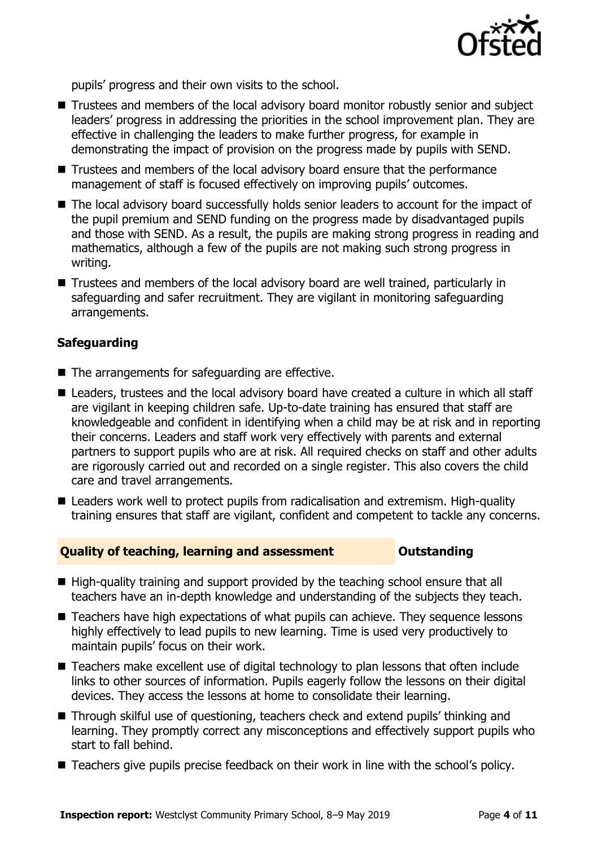

pupils' progress and their own visits to the school.

- Trustees and members of the local advisory board monitor robustly senior and subject leaders' progress in addressing the priorities in the school improvement plan. They are effective in challenging the leaders to make further progress, for example in demonstrating the impact of provision on the progress made by pupils with SEND.
- Trustees and members of the local advisory board ensure that the performance management of staff is focused effectively on improving pupils' outcomes.
- The local advisory board successfully holds senior leaders to account for the impact of the pupil premium and SEND funding on the progress made by disadvantaged pupils and those with SEND. As a result, the pupils are making strong progress in reading and mathematics, although a few of the pupils are not making such strong progress in writing.
- Trustees and members of the local advisory board are well trained, particularly in safeguarding and safer recruitment. They are vigilant in monitoring safeguarding arrangements.

#### **Safeguarding**

- The arrangements for safeguarding are effective.
- Leaders, trustees and the local advisory board have created a culture in which all staff are vigilant in keeping children safe. Up-to-date training has ensured that staff are knowledgeable and confident in identifying when a child may be at risk and in reporting their concerns. Leaders and staff work very effectively with parents and external partners to support pupils who are at risk. All required checks on staff and other adults are rigorously carried out and recorded on a single register. This also covers the child care and travel arrangements.
- Leaders work well to protect pupils from radicalisation and extremism. High-quality training ensures that staff are vigilant, confident and competent to tackle any concerns.

#### **Quality of teaching, learning and assessment Outstanding**

- High-quality training and support provided by the teaching school ensure that all teachers have an in-depth knowledge and understanding of the subjects they teach.
- Teachers have high expectations of what pupils can achieve. They sequence lessons highly effectively to lead pupils to new learning. Time is used very productively to maintain pupils' focus on their work.
- Teachers make excellent use of digital technology to plan lessons that often include links to other sources of information. Pupils eagerly follow the lessons on their digital devices. They access the lessons at home to consolidate their learning.
- Through skilful use of questioning, teachers check and extend pupils' thinking and learning. They promptly correct any misconceptions and effectively support pupils who start to fall behind.
- Teachers give pupils precise feedback on their work in line with the school's policy.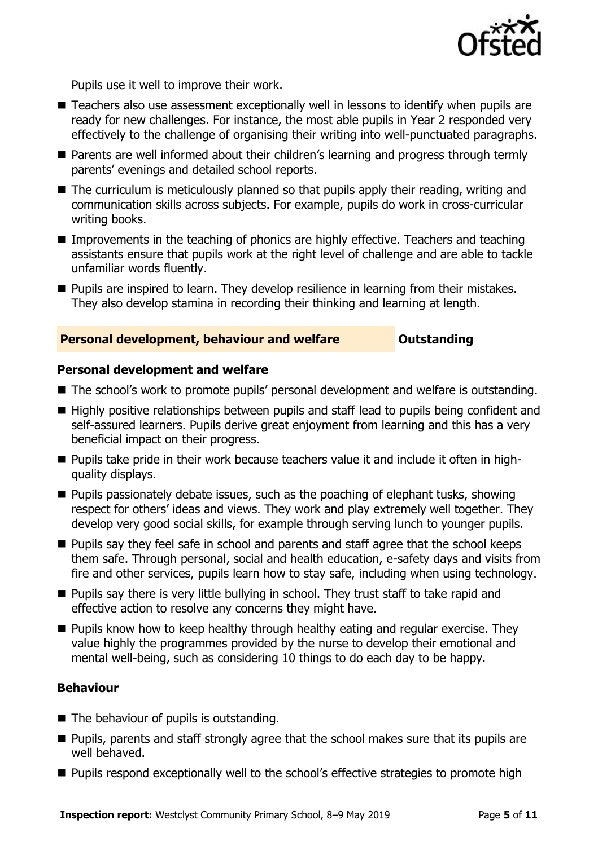

Pupils use it well to improve their work.

- Teachers also use assessment exceptionally well in lessons to identify when pupils are ready for new challenges. For instance, the most able pupils in Year 2 responded very effectively to the challenge of organising their writing into well-punctuated paragraphs.
- Parents are well informed about their children's learning and progress through termly parents' evenings and detailed school reports.
- The curriculum is meticulously planned so that pupils apply their reading, writing and communication skills across subjects. For example, pupils do work in cross-curricular writing books.
- Improvements in the teaching of phonics are highly effective. Teachers and teaching assistants ensure that pupils work at the right level of challenge and are able to tackle unfamiliar words fluently.
- **Pupils are inspired to learn. They develop resilience in learning from their mistakes.** They also develop stamina in recording their thinking and learning at length.

#### **Personal development, behaviour and welfare <b>COUNG COULTS** Outstanding

#### **Personal development and welfare**

- The school's work to promote pupils' personal development and welfare is outstanding.
- Highly positive relationships between pupils and staff lead to pupils being confident and self-assured learners. Pupils derive great enjoyment from learning and this has a very beneficial impact on their progress.
- Pupils take pride in their work because teachers value it and include it often in highquality displays.
- $\blacksquare$  Pupils passionately debate issues, such as the poaching of elephant tusks, showing respect for others' ideas and views. They work and play extremely well together. They develop very good social skills, for example through serving lunch to younger pupils.
- **Pupils say they feel safe in school and parents and staff agree that the school keeps** them safe. Through personal, social and health education, e-safety days and visits from fire and other services, pupils learn how to stay safe, including when using technology.
- **Pupils say there is very little bullying in school. They trust staff to take rapid and** effective action to resolve any concerns they might have.
- **Pupils know how to keep healthy through healthy eating and regular exercise. They** value highly the programmes provided by the nurse to develop their emotional and mental well-being, such as considering 10 things to do each day to be happy.

### **Behaviour**

- The behaviour of pupils is outstanding.
- **Pupils, parents and staff strongly agree that the school makes sure that its pupils are** well behaved.
- **Pupils respond exceptionally well to the school's effective strategies to promote high**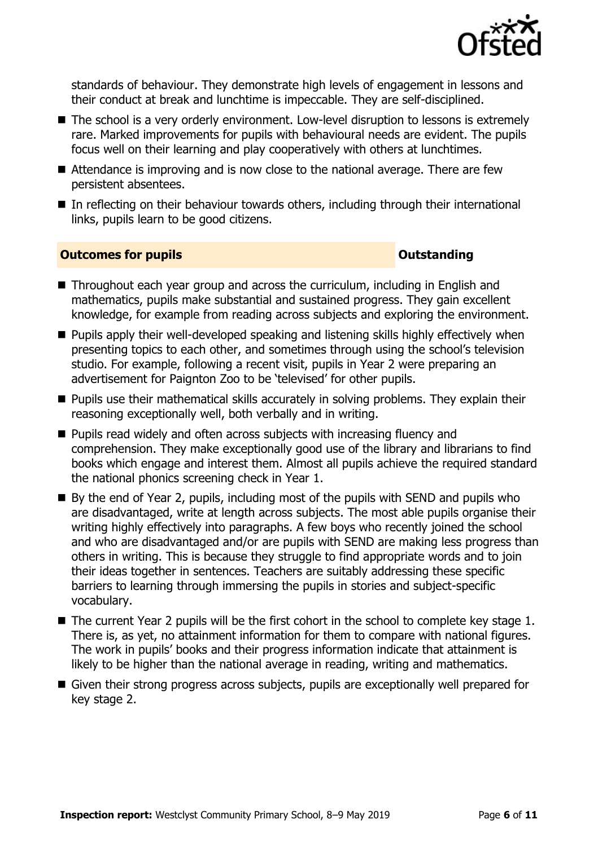

standards of behaviour. They demonstrate high levels of engagement in lessons and their conduct at break and lunchtime is impeccable. They are self-disciplined.

- The school is a very orderly environment. Low-level disruption to lessons is extremely rare. Marked improvements for pupils with behavioural needs are evident. The pupils focus well on their learning and play cooperatively with others at lunchtimes.
- Attendance is improving and is now close to the national average. There are few persistent absentees.
- In reflecting on their behaviour towards others, including through their international links, pupils learn to be good citizens.

#### **Outcomes for pupils Outstanding**

- Throughout each year group and across the curriculum, including in English and mathematics, pupils make substantial and sustained progress. They gain excellent knowledge, for example from reading across subjects and exploring the environment.
- **Pupils apply their well-developed speaking and listening skills highly effectively when** presenting topics to each other, and sometimes through using the school's television studio. For example, following a recent visit, pupils in Year 2 were preparing an advertisement for Paignton Zoo to be 'televised' for other pupils.
- **Pupils use their mathematical skills accurately in solving problems. They explain their** reasoning exceptionally well, both verbally and in writing.
- **Pupils read widely and often across subjects with increasing fluency and** comprehension. They make exceptionally good use of the library and librarians to find books which engage and interest them. Almost all pupils achieve the required standard the national phonics screening check in Year 1.
- By the end of Year 2, pupils, including most of the pupils with SEND and pupils who are disadvantaged, write at length across subjects. The most able pupils organise their writing highly effectively into paragraphs. A few boys who recently joined the school and who are disadvantaged and/or are pupils with SEND are making less progress than others in writing. This is because they struggle to find appropriate words and to join their ideas together in sentences. Teachers are suitably addressing these specific barriers to learning through immersing the pupils in stories and subject-specific vocabulary.
- $\blacksquare$  The current Year 2 pupils will be the first cohort in the school to complete key stage 1. There is, as yet, no attainment information for them to compare with national figures. The work in pupils' books and their progress information indicate that attainment is likely to be higher than the national average in reading, writing and mathematics.
- Given their strong progress across subjects, pupils are exceptionally well prepared for key stage 2.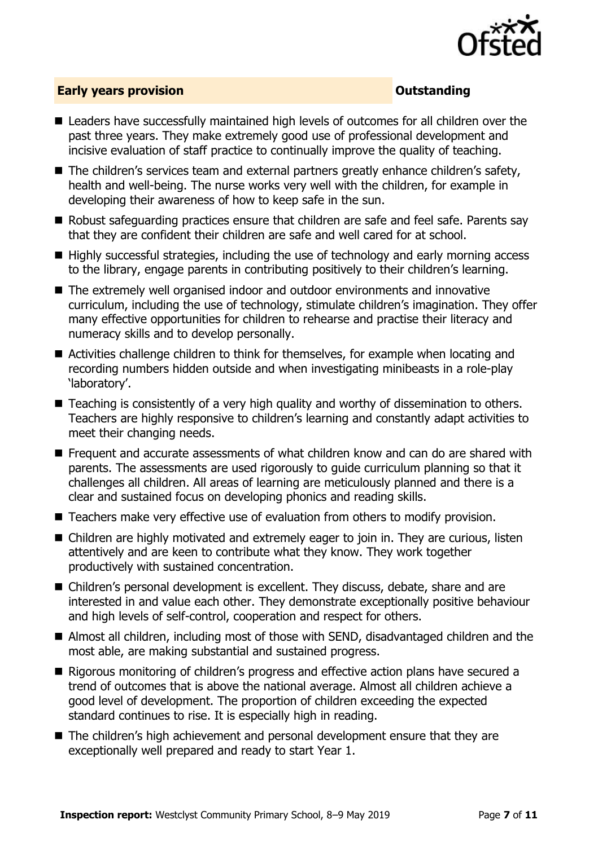

### **Early years provision CONSISTER SERVICES CONSISTENT CONSTANT CONSTANT CONSTANT CONSISTENT CONSISTENT CONSISTENT CONSISTENT CONSISTENT CONSISTENT CONSISTENT CONSISTENT CONSISTENT CONSISTENT CONSISTENT CONSISTENT CONSIS**

- Leaders have successfully maintained high levels of outcomes for all children over the past three years. They make extremely good use of professional development and incisive evaluation of staff practice to continually improve the quality of teaching.
- The children's services team and external partners greatly enhance children's safety, health and well-being. The nurse works very well with the children, for example in developing their awareness of how to keep safe in the sun.
- Robust safeguarding practices ensure that children are safe and feel safe. Parents say that they are confident their children are safe and well cared for at school.
- Highly successful strategies, including the use of technology and early morning access to the library, engage parents in contributing positively to their children's learning.
- The extremely well organised indoor and outdoor environments and innovative curriculum, including the use of technology, stimulate children's imagination. They offer many effective opportunities for children to rehearse and practise their literacy and numeracy skills and to develop personally.
- Activities challenge children to think for themselves, for example when locating and recording numbers hidden outside and when investigating minibeasts in a role-play 'laboratory'.
- Teaching is consistently of a very high quality and worthy of dissemination to others. Teachers are highly responsive to children's learning and constantly adapt activities to meet their changing needs.
- Frequent and accurate assessments of what children know and can do are shared with parents. The assessments are used rigorously to guide curriculum planning so that it challenges all children. All areas of learning are meticulously planned and there is a clear and sustained focus on developing phonics and reading skills.
- Teachers make very effective use of evaluation from others to modify provision.
- Children are highly motivated and extremely eager to join in. They are curious, listen attentively and are keen to contribute what they know. They work together productively with sustained concentration.
- Children's personal development is excellent. They discuss, debate, share and are interested in and value each other. They demonstrate exceptionally positive behaviour and high levels of self-control, cooperation and respect for others.
- Almost all children, including most of those with SEND, disadvantaged children and the most able, are making substantial and sustained progress.
- Rigorous monitoring of children's progress and effective action plans have secured a trend of outcomes that is above the national average. Almost all children achieve a good level of development. The proportion of children exceeding the expected standard continues to rise. It is especially high in reading.
- The children's high achievement and personal development ensure that they are exceptionally well prepared and ready to start Year 1.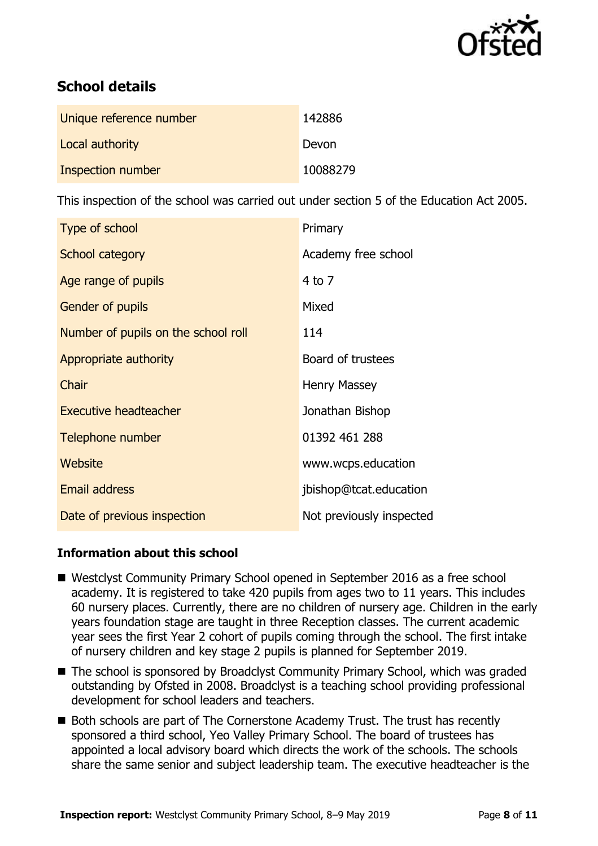

# **School details**

| Unique reference number | 142886   |
|-------------------------|----------|
| Local authority         | Devon    |
| Inspection number       | 10088279 |

This inspection of the school was carried out under section 5 of the Education Act 2005.

| Type of school                      | Primary                  |
|-------------------------------------|--------------------------|
| School category                     | Academy free school      |
| Age range of pupils                 | $4$ to $7$               |
| <b>Gender of pupils</b>             | Mixed                    |
| Number of pupils on the school roll | 114                      |
| Appropriate authority               | Board of trustees        |
| Chair                               | <b>Henry Massey</b>      |
| <b>Executive headteacher</b>        | Jonathan Bishop          |
| Telephone number                    | 01392 461 288            |
| Website                             | www.wcps.education       |
| <b>Email address</b>                | jbishop@tcat.education   |
| Date of previous inspection         | Not previously inspected |

## **Information about this school**

- Westclyst Community Primary School opened in September 2016 as a free school academy. It is registered to take 420 pupils from ages two to 11 years. This includes 60 nursery places. Currently, there are no children of nursery age. Children in the early years foundation stage are taught in three Reception classes. The current academic year sees the first Year 2 cohort of pupils coming through the school. The first intake of nursery children and key stage 2 pupils is planned for September 2019.
- The school is sponsored by Broadclyst Community Primary School, which was graded outstanding by Ofsted in 2008. Broadclyst is a teaching school providing professional development for school leaders and teachers.
- Both schools are part of The Cornerstone Academy Trust. The trust has recently sponsored a third school, Yeo Valley Primary School. The board of trustees has appointed a local advisory board which directs the work of the schools. The schools share the same senior and subject leadership team. The executive headteacher is the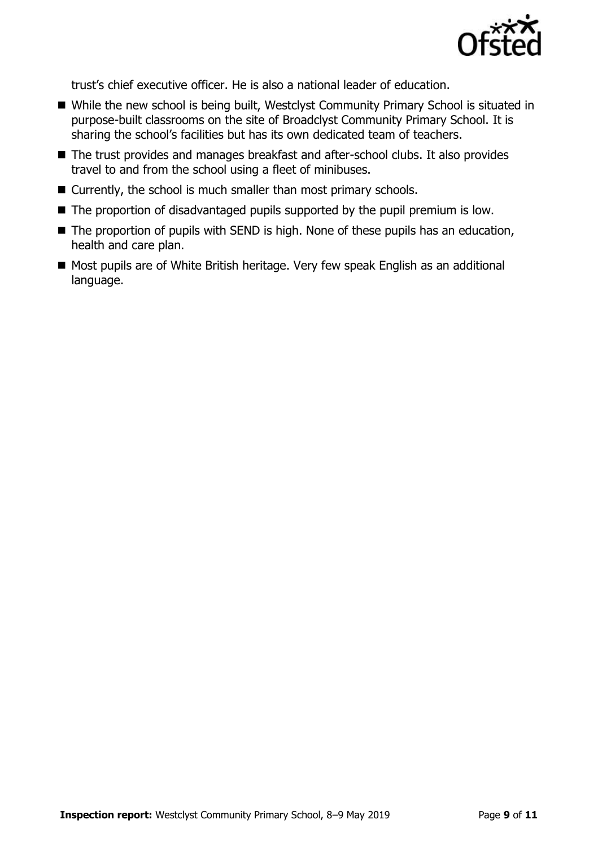

trust's chief executive officer. He is also a national leader of education.

- While the new school is being built, Westclyst Community Primary School is situated in purpose-built classrooms on the site of Broadclyst Community Primary School. It is sharing the school's facilities but has its own dedicated team of teachers.
- The trust provides and manages breakfast and after-school clubs. It also provides travel to and from the school using a fleet of minibuses.
- Currently, the school is much smaller than most primary schools.
- The proportion of disadvantaged pupils supported by the pupil premium is low.
- The proportion of pupils with SEND is high. None of these pupils has an education, health and care plan.
- Most pupils are of White British heritage. Very few speak English as an additional language.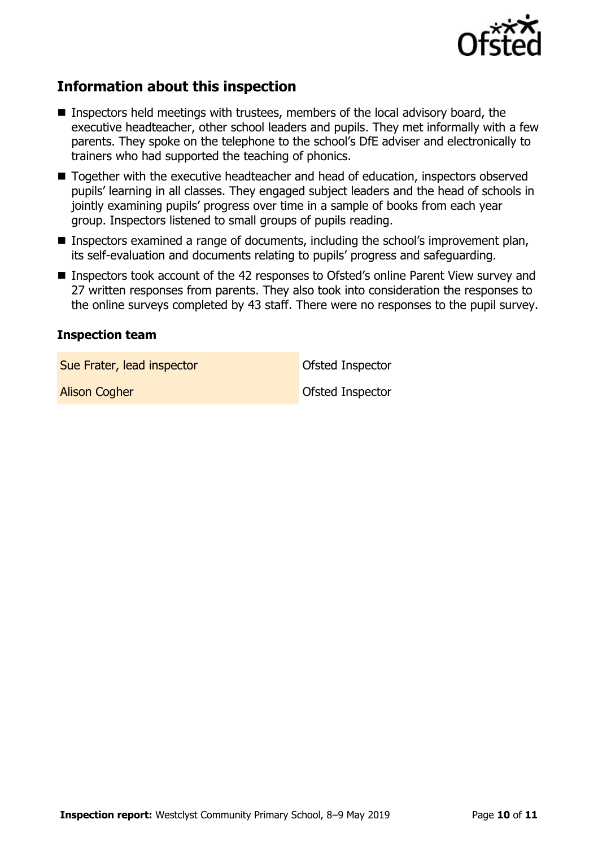

# **Information about this inspection**

- **Inspectors held meetings with trustees, members of the local advisory board, the** executive headteacher, other school leaders and pupils. They met informally with a few parents. They spoke on the telephone to the school's DfE adviser and electronically to trainers who had supported the teaching of phonics.
- Together with the executive headteacher and head of education, inspectors observed pupils' learning in all classes. They engaged subject leaders and the head of schools in jointly examining pupils' progress over time in a sample of books from each year group. Inspectors listened to small groups of pupils reading.
- Inspectors examined a range of documents, including the school's improvement plan, its self-evaluation and documents relating to pupils' progress and safeguarding.
- Inspectors took account of the 42 responses to Ofsted's online Parent View survey and 27 written responses from parents. They also took into consideration the responses to the online surveys completed by 43 staff. There were no responses to the pupil survey.

#### **Inspection team**

Sue Frater, lead inspector Contract Contract Contract Ofsted Inspector

**Alison Cogher Community Community Construction Cogher** Construction Construction Construction Construction Construction Construction Construction Construction Construction Construction Construction Construction Constructi